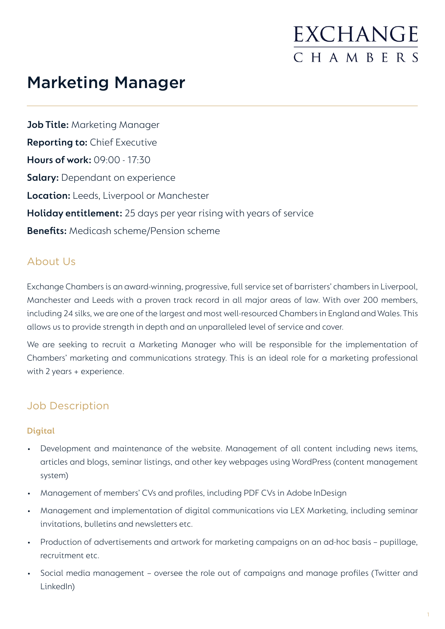### Marketing Manager

**Job Title:** Marketing Manager **Reporting to:** Chief Executive **Hours of work:** 09:00 - 17:30 **Salary:** Dependant on experience **Location:** Leeds, Liverpool or Manchester **Holiday entitlement:** 25 days per year rising with years of service **Benefits:** Medicash scheme/Pension scheme

### About Us

Exchange Chambers is an award-winning, progressive, full service set of barristers' chambers in Liverpool, Manchester and Leeds with a proven track record in all major areas of law. With over 200 members, including 24 silks, we are one of the largest and most well-resourced Chambers in England and Wales. This allows us to provide strength in depth and an unparalleled level of service and cover.

We are seeking to recruit a Marketing Manager who will be responsible for the implementation of Chambers' marketing and communications strategy. This is an ideal role for a marketing professional with 2 years + experience.

### Job Description

### **Digital**

- Development and maintenance of the website. Management of all content including news items, articles and blogs, seminar listings, and other key webpages using WordPress (content management system)
- Management of members' CVs and profiles, including PDF CVs in Adobe InDesign
- Management and implementation of digital communications via LEX Marketing, including seminar invitations, bulletins and newsletters etc.
- Production of advertisements and artwork for marketing campaigns on an ad-hoc basis pupillage, recruitment etc.
- Social media management oversee the role out of campaigns and manage profiles (Twitter and LinkedIn)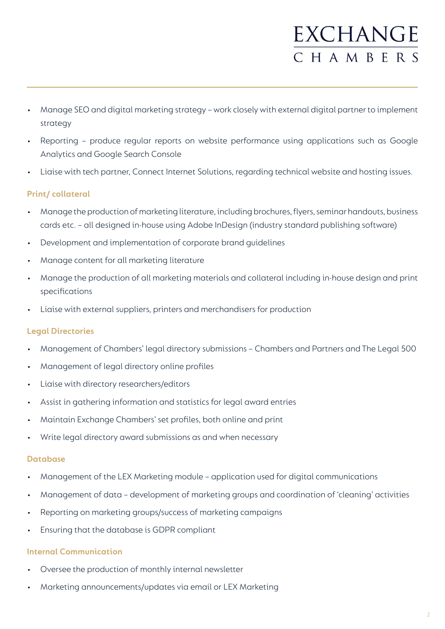- Manage SEO and digital marketing strategy work closely with external digital partner to implement strategy
- Reporting produce regular reports on website performance using applications such as Google Analytics and Google Search Console
- Liaise with tech partner, Connect Internet Solutions, regarding technical website and hosting issues.

### **Print/ collateral**

- Manage the production of marketing literature, including brochures, flyers, seminar handouts, business cards etc. – all designed in-house using Adobe InDesign (industry standard publishing software)
- Development and implementation of corporate brand guidelines
- Manage content for all marketing literature
- Manage the production of all marketing materials and collateral including in-house design and print specifications
- Liaise with external suppliers, printers and merchandisers for production

### **Legal Directories**

- Management of Chambers' legal directory submissions Chambers and Partners and The Legal 500
- Management of legal directory online profiles
- Liaise with directory researchers/editors
- Assist in gathering information and statistics for legal award entries
- Maintain Exchange Chambers' set profiles, both online and print
- Write legal directory award submissions as and when necessary

### **Database**

- Management of the LEX Marketing module application used for digital communications
- Management of data development of marketing groups and coordination of 'cleaning' activities
- Reporting on marketing groups/success of marketing campaigns
- Ensuring that the database is GDPR compliant

### **Internal Communication**

- Oversee the production of monthly internal newsletter
- Marketing announcements/updates via email or LEX Marketing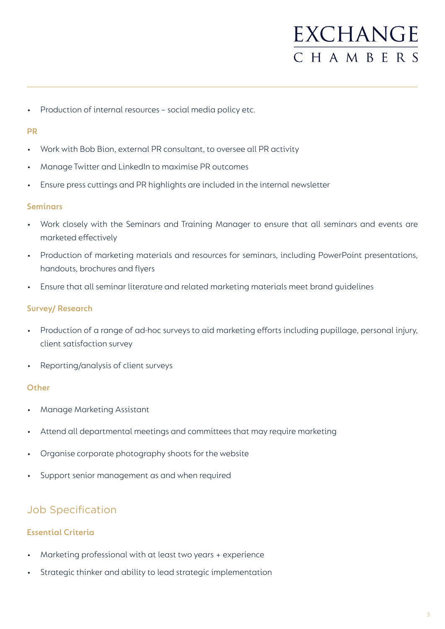Production of internal resources - social media policy etc.

#### **PR**

- Work with Bob Bion, external PR consultant, to oversee all PR activity
- Manage Twitter and LinkedIn to maximise PR outcomes
- Ensure press cuttings and PR highlights are included in the internal newsletter

#### **Seminars**

- Work closely with the Seminars and Training Manager to ensure that all seminars and events are marketed effectively
- Production of marketing materials and resources for seminars, including PowerPoint presentations, handouts, brochures and flyers
- Ensure that all seminar literature and related marketing materials meet brand guidelines

#### **Survey/ Research**

- Production of a range of ad-hoc surveys to aid marketing efforts including pupillage, personal injury, client satisfaction survey
- Reporting/analysis of client surveys

#### **Other**

- Manage Marketing Assistant
- Attend all departmental meetings and committees that may require marketing
- Organise corporate photography shoots for the website
- Support senior management as and when required

### Job Specification

### **Essential Criteria**

- Marketing professional with at least two years + experience
- Strategic thinker and ability to lead strategic implementation